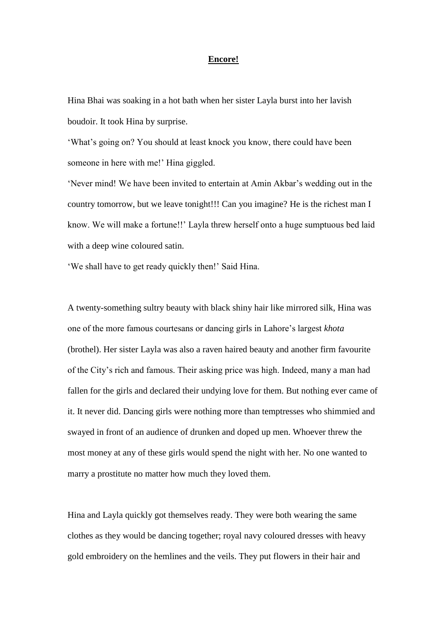## **Encore!**

Hina Bhai was soaking in a hot bath when her sister Layla burst into her lavish boudoir. It took Hina by surprise.

'What's going on? You should at least knock you know, there could have been someone in here with me!' Hina giggled.

'Never mind! We have been invited to entertain at Amin Akbar's wedding out in the country tomorrow, but we leave tonight!!! Can you imagine? He is the richest man I know. We will make a fortune!!' Layla threw herself onto a huge sumptuous bed laid with a deep wine coloured satin.

'We shall have to get ready quickly then!' Said Hina.

A twenty-something sultry beauty with black shiny hair like mirrored silk, Hina was one of the more famous courtesans or dancing girls in Lahore's largest *khota* (brothel). Her sister Layla was also a raven haired beauty and another firm favourite of the City's rich and famous. Their asking price was high. Indeed, many a man had fallen for the girls and declared their undying love for them. But nothing ever came of it. It never did. Dancing girls were nothing more than temptresses who shimmied and swayed in front of an audience of drunken and doped up men. Whoever threw the most money at any of these girls would spend the night with her. No one wanted to marry a prostitute no matter how much they loved them.

Hina and Layla quickly got themselves ready. They were both wearing the same clothes as they would be dancing together; royal navy coloured dresses with heavy gold embroidery on the hemlines and the veils. They put flowers in their hair and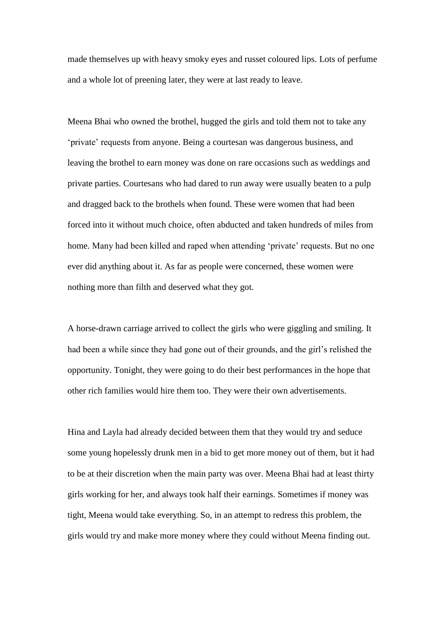made themselves up with heavy smoky eyes and russet coloured lips. Lots of perfume and a whole lot of preening later, they were at last ready to leave.

Meena Bhai who owned the brothel, hugged the girls and told them not to take any 'private' requests from anyone. Being a courtesan was dangerous business, and leaving the brothel to earn money was done on rare occasions such as weddings and private parties. Courtesans who had dared to run away were usually beaten to a pulp and dragged back to the brothels when found. These were women that had been forced into it without much choice, often abducted and taken hundreds of miles from home. Many had been killed and raped when attending 'private' requests. But no one ever did anything about it. As far as people were concerned, these women were nothing more than filth and deserved what they got.

A horse-drawn carriage arrived to collect the girls who were giggling and smiling. It had been a while since they had gone out of their grounds, and the girl's relished the opportunity. Tonight, they were going to do their best performances in the hope that other rich families would hire them too. They were their own advertisements.

Hina and Layla had already decided between them that they would try and seduce some young hopelessly drunk men in a bid to get more money out of them, but it had to be at their discretion when the main party was over. Meena Bhai had at least thirty girls working for her, and always took half their earnings. Sometimes if money was tight, Meena would take everything. So, in an attempt to redress this problem, the girls would try and make more money where they could without Meena finding out.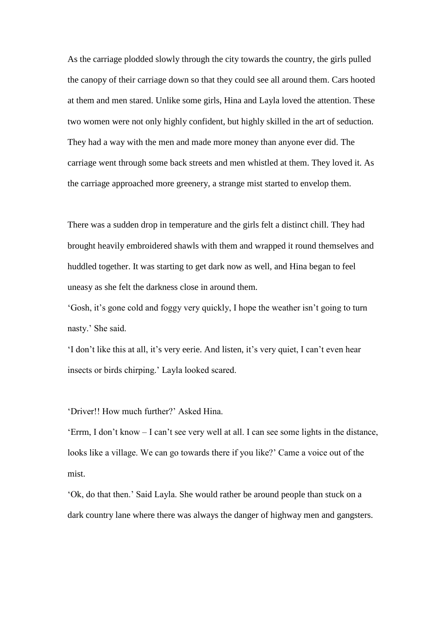As the carriage plodded slowly through the city towards the country, the girls pulled the canopy of their carriage down so that they could see all around them. Cars hooted at them and men stared. Unlike some girls, Hina and Layla loved the attention. These two women were not only highly confident, but highly skilled in the art of seduction. They had a way with the men and made more money than anyone ever did. The carriage went through some back streets and men whistled at them. They loved it. As the carriage approached more greenery, a strange mist started to envelop them.

There was a sudden drop in temperature and the girls felt a distinct chill. They had brought heavily embroidered shawls with them and wrapped it round themselves and huddled together. It was starting to get dark now as well, and Hina began to feel uneasy as she felt the darkness close in around them.

'Gosh, it's gone cold and foggy very quickly, I hope the weather isn't going to turn nasty.' She said.

'I don't like this at all, it's very eerie. And listen, it's very quiet, I can't even hear insects or birds chirping.' Layla looked scared.

'Driver!! How much further?' Asked Hina.

'Errm, I don't know – I can't see very well at all. I can see some lights in the distance, looks like a village. We can go towards there if you like?' Came a voice out of the mist.

'Ok, do that then.' Said Layla. She would rather be around people than stuck on a dark country lane where there was always the danger of highway men and gangsters.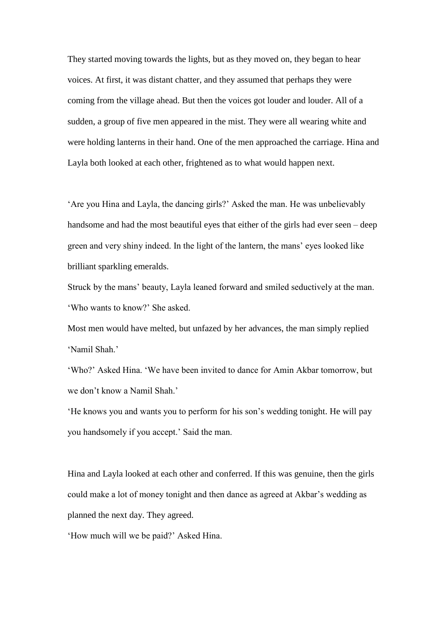They started moving towards the lights, but as they moved on, they began to hear voices. At first, it was distant chatter, and they assumed that perhaps they were coming from the village ahead. But then the voices got louder and louder. All of a sudden, a group of five men appeared in the mist. They were all wearing white and were holding lanterns in their hand. One of the men approached the carriage. Hina and Layla both looked at each other, frightened as to what would happen next.

'Are you Hina and Layla, the dancing girls?' Asked the man. He was unbelievably handsome and had the most beautiful eyes that either of the girls had ever seen – deep green and very shiny indeed. In the light of the lantern, the mans' eyes looked like brilliant sparkling emeralds.

Struck by the mans' beauty, Layla leaned forward and smiled seductively at the man. 'Who wants to know?' She asked.

Most men would have melted, but unfazed by her advances, the man simply replied 'Namil Shah.'

'Who?' Asked Hina. 'We have been invited to dance for Amin Akbar tomorrow, but we don't know a Namil Shah.'

'He knows you and wants you to perform for his son's wedding tonight. He will pay you handsomely if you accept.' Said the man.

Hina and Layla looked at each other and conferred. If this was genuine, then the girls could make a lot of money tonight and then dance as agreed at Akbar's wedding as planned the next day. They agreed.

'How much will we be paid?' Asked Hina.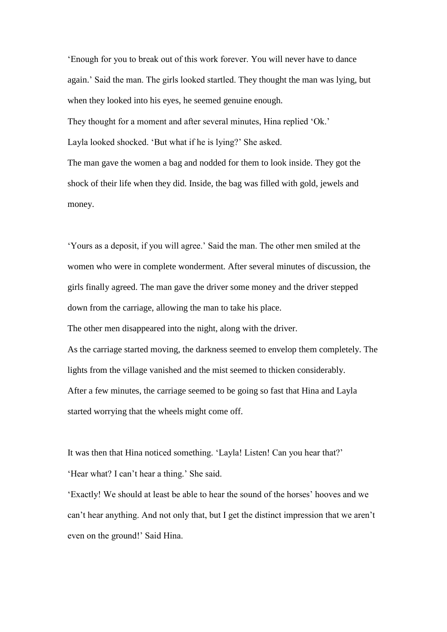'Enough for you to break out of this work forever. You will never have to dance again.' Said the man. The girls looked startled. They thought the man was lying, but when they looked into his eyes, he seemed genuine enough.

They thought for a moment and after several minutes, Hina replied 'Ok.' Layla looked shocked. 'But what if he is lying?' She asked.

The man gave the women a bag and nodded for them to look inside. They got the shock of their life when they did. Inside, the bag was filled with gold, jewels and money.

'Yours as a deposit, if you will agree.' Said the man. The other men smiled at the women who were in complete wonderment. After several minutes of discussion, the girls finally agreed. The man gave the driver some money and the driver stepped down from the carriage, allowing the man to take his place. The other men disappeared into the night, along with the driver. As the carriage started moving, the darkness seemed to envelop them completely. The lights from the village vanished and the mist seemed to thicken considerably. After a few minutes, the carriage seemed to be going so fast that Hina and Layla started worrying that the wheels might come off.

It was then that Hina noticed something. 'Layla! Listen! Can you hear that?' 'Hear what? I can't hear a thing.' She said.

'Exactly! We should at least be able to hear the sound of the horses' hooves and we can't hear anything. And not only that, but I get the distinct impression that we aren't even on the ground!' Said Hina.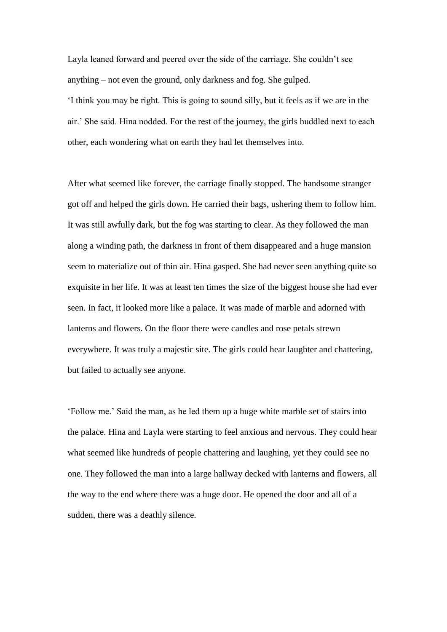Layla leaned forward and peered over the side of the carriage. She couldn't see anything – not even the ground, only darkness and fog. She gulped. 'I think you may be right. This is going to sound silly, but it feels as if we are in the air.' She said. Hina nodded. For the rest of the journey, the girls huddled next to each other, each wondering what on earth they had let themselves into.

After what seemed like forever, the carriage finally stopped. The handsome stranger got off and helped the girls down. He carried their bags, ushering them to follow him. It was still awfully dark, but the fog was starting to clear. As they followed the man along a winding path, the darkness in front of them disappeared and a huge mansion seem to materialize out of thin air. Hina gasped. She had never seen anything quite so exquisite in her life. It was at least ten times the size of the biggest house she had ever seen. In fact, it looked more like a palace. It was made of marble and adorned with lanterns and flowers. On the floor there were candles and rose petals strewn everywhere. It was truly a majestic site. The girls could hear laughter and chattering, but failed to actually see anyone.

'Follow me.' Said the man, as he led them up a huge white marble set of stairs into the palace. Hina and Layla were starting to feel anxious and nervous. They could hear what seemed like hundreds of people chattering and laughing, yet they could see no one. They followed the man into a large hallway decked with lanterns and flowers, all the way to the end where there was a huge door. He opened the door and all of a sudden, there was a deathly silence.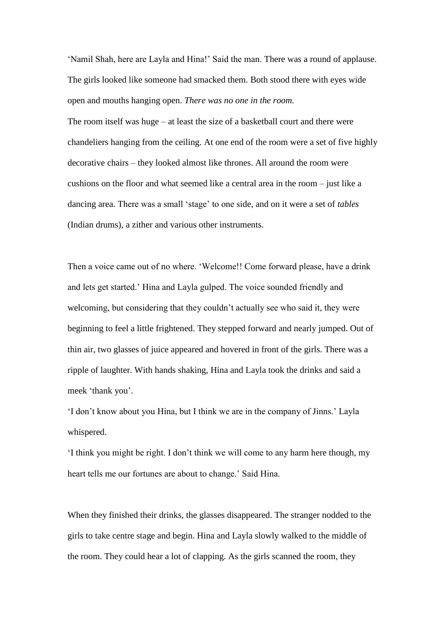'Namil Shah, here are Layla and Hina!' Said the man. There was a round of applause. The girls looked like someone had smacked them. Both stood there with eyes wide open and mouths hanging open. *There was no one in the room.*

The room itself was huge – at least the size of a basketball court and there were chandeliers hanging from the ceiling. At one end of the room were a set of five highly decorative chairs – they looked almost like thrones. All around the room were cushions on the floor and what seemed like a central area in the room – just like a dancing area. There was a small 'stage' to one side, and on it were a set of *tables*  (Indian drums), a zither and various other instruments.

Then a voice came out of no where. 'Welcome!! Come forward please, have a drink and lets get started.' Hina and Layla gulped. The voice sounded friendly and welcoming, but considering that they couldn't actually see who said it, they were beginning to feel a little frightened. They stepped forward and nearly jumped. Out of thin air, two glasses of juice appeared and hovered in front of the girls. There was a ripple of laughter. With hands shaking, Hina and Layla took the drinks and said a meek 'thank you'.

'I don't know about you Hina, but I think we are in the company of Jinns.' Layla whispered.

'I think you might be right. I don't think we will come to any harm here though, my heart tells me our fortunes are about to change.' Said Hina.

When they finished their drinks, the glasses disappeared. The stranger nodded to the girls to take centre stage and begin. Hina and Layla slowly walked to the middle of the room. They could hear a lot of clapping. As the girls scanned the room, they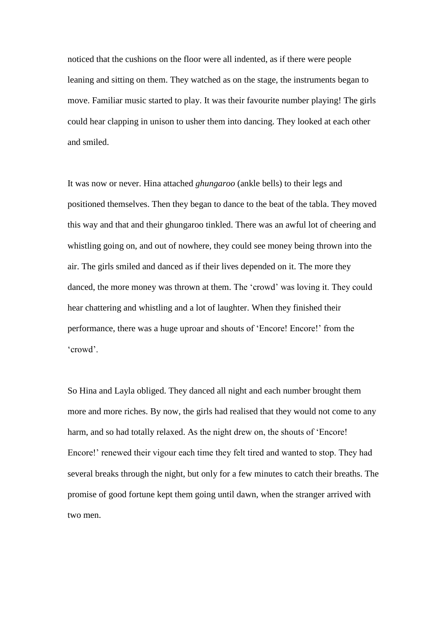noticed that the cushions on the floor were all indented, as if there were people leaning and sitting on them. They watched as on the stage, the instruments began to move. Familiar music started to play. It was their favourite number playing! The girls could hear clapping in unison to usher them into dancing. They looked at each other and smiled.

It was now or never. Hina attached *ghungaroo* (ankle bells) to their legs and positioned themselves. Then they began to dance to the beat of the tabla. They moved this way and that and their ghungaroo tinkled. There was an awful lot of cheering and whistling going on, and out of nowhere, they could see money being thrown into the air. The girls smiled and danced as if their lives depended on it. The more they danced, the more money was thrown at them. The 'crowd' was loving it. They could hear chattering and whistling and a lot of laughter. When they finished their performance, there was a huge uproar and shouts of 'Encore! Encore!' from the 'crowd'.

So Hina and Layla obliged. They danced all night and each number brought them more and more riches. By now, the girls had realised that they would not come to any harm, and so had totally relaxed. As the night drew on, the shouts of 'Encore! Encore!' renewed their vigour each time they felt tired and wanted to stop. They had several breaks through the night, but only for a few minutes to catch their breaths. The promise of good fortune kept them going until dawn, when the stranger arrived with two men.